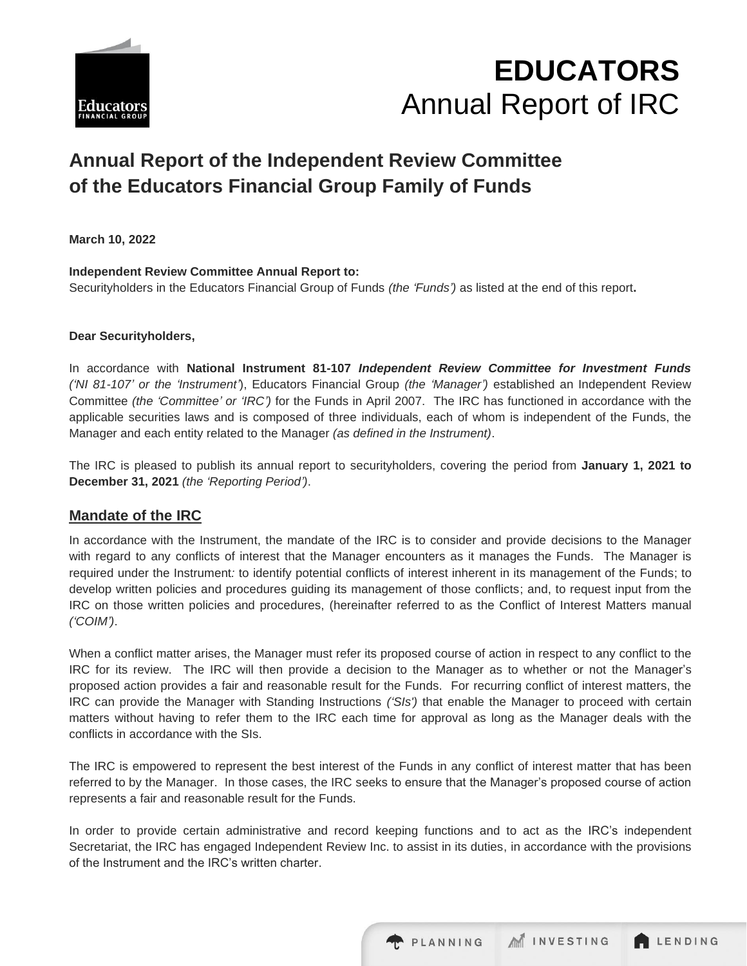



# **Annual Report of the Independent Review Committee of the Educators Financial Group Family of Funds**

**March 10, 2022**

**Independent Review Committee Annual Report to:**  Securityholders in the Educators Financial Group of Funds *(the 'Funds')* as listed at the end of this report**.**

#### **Dear Securityholders,**

In accordance with **National Instrument 81-107** *Independent Review Committee for Investment Funds ('NI 81-107' or the 'Instrument'*), Educators Financial Group *(the 'Manager')* established an Independent Review Committee *(the 'Committee' or 'IRC')* for the Funds in April 2007. The IRC has functioned in accordance with the applicable securities laws and is composed of three individuals, each of whom is independent of the Funds, the Manager and each entity related to the Manager *(as defined in the Instrument)*.

The IRC is pleased to publish its annual report to securityholders, covering the period from **January 1, 2021 to December 31, 2021** *(the 'Reporting Period')*.

## **Mandate of the IRC**

In accordance with the Instrument, the mandate of the IRC is to consider and provide decisions to the Manager with regard to any conflicts of interest that the Manager encounters as it manages the Funds. The Manager is required under the Instrument*:* to identify potential conflicts of interest inherent in its management of the Funds; to develop written policies and procedures guiding its management of those conflicts; and, to request input from the IRC on those written policies and procedures, (hereinafter referred to as the Conflict of Interest Matters manual *('COIM')*.

When a conflict matter arises, the Manager must refer its proposed course of action in respect to any conflict to the IRC for its review. The IRC will then provide a decision to the Manager as to whether or not the Manager's proposed action provides a fair and reasonable result for the Funds. For recurring conflict of interest matters, the IRC can provide the Manager with Standing Instructions *('SIs')* that enable the Manager to proceed with certain matters without having to refer them to the IRC each time for approval as long as the Manager deals with the conflicts in accordance with the SIs.

The IRC is empowered to represent the best interest of the Funds in any conflict of interest matter that has been referred to by the Manager. In those cases, the IRC seeks to ensure that the Manager's proposed course of action represents a fair and reasonable result for the Funds.

In order to provide certain administrative and record keeping functions and to act as the IRC's independent Secretariat, the IRC has engaged Independent Review Inc. to assist in its duties, in accordance with the provisions of the Instrument and the IRC's written charter.

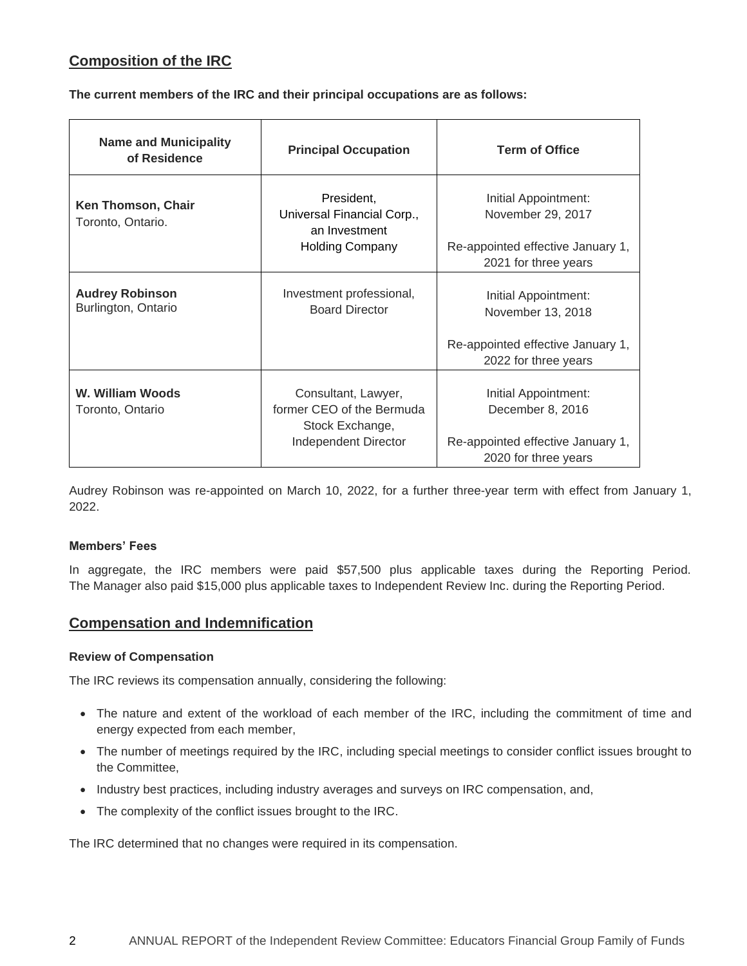# **Composition of the IRC**

**The current members of the IRC and their principal occupations are as follows:**

| <b>Name and Municipality</b><br>of Residence  | <b>Principal Occupation</b>                                                                 | <b>Term of Office</b>                                                                                  |
|-----------------------------------------------|---------------------------------------------------------------------------------------------|--------------------------------------------------------------------------------------------------------|
| Ken Thomson, Chair<br>Toronto, Ontario.       | President,<br>Universal Financial Corp.,<br>an Investment<br><b>Holding Company</b>         | Initial Appointment:<br>November 29, 2017<br>Re-appointed effective January 1,<br>2021 for three years |
| <b>Audrey Robinson</b><br>Burlington, Ontario | Investment professional,<br><b>Board Director</b>                                           | Initial Appointment:<br>November 13, 2018<br>Re-appointed effective January 1,<br>2022 for three years |
| W. William Woods<br>Toronto, Ontario          | Consultant, Lawyer,<br>former CEO of the Bermuda<br>Stock Exchange,<br>Independent Director | Initial Appointment:<br>December 8, 2016<br>Re-appointed effective January 1,<br>2020 for three years  |

Audrey Robinson was re-appointed on March 10, 2022, for a further three-year term with effect from January 1, 2022.

#### **Members' Fees**

In aggregate, the IRC members were paid \$57,500 plus applicable taxes during the Reporting Period. The Manager also paid \$15,000 plus applicable taxes to Independent Review Inc. during the Reporting Period.

# **Compensation and Indemnification**

#### **Review of Compensation**

The IRC reviews its compensation annually, considering the following:

- The nature and extent of the workload of each member of the IRC, including the commitment of time and energy expected from each member,
- The number of meetings required by the IRC, including special meetings to consider conflict issues brought to the Committee,
- Industry best practices, including industry averages and surveys on IRC compensation, and,
- The complexity of the conflict issues brought to the IRC.

The IRC determined that no changes were required in its compensation.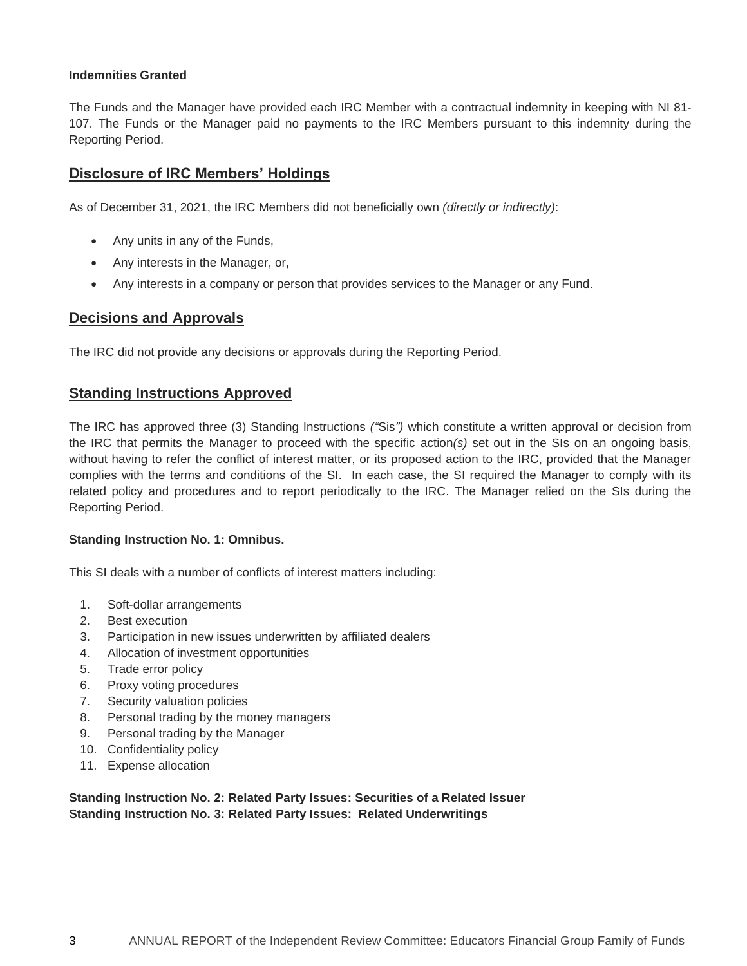#### **Indemnities Granted**

The Funds and the Manager have provided each IRC Member with a contractual indemnity in keeping with NI 81- 107. The Funds or the Manager paid no payments to the IRC Members pursuant to this indemnity during the Reporting Period.

## **Disclosure of IRC Members' Holdings**

As of December 31, 2021, the IRC Members did not beneficially own *(directly or indirectly)*:

- Any units in any of the Funds,
- Any interests in the Manager, or,
- Any interests in a company or person that provides services to the Manager or any Fund.

## **Decisions and Approvals**

The IRC did not provide any decisions or approvals during the Reporting Period.

### **Standing Instructions Approved**

The IRC has approved three (3) Standing Instructions *("*Sis*")* which constitute a written approval or decision from the IRC that permits the Manager to proceed with the specific action*(s)* set out in the SIs on an ongoing basis, without having to refer the conflict of interest matter, or its proposed action to the IRC, provided that the Manager complies with the terms and conditions of the SI. In each case, the SI required the Manager to comply with its related policy and procedures and to report periodically to the IRC. The Manager relied on the SIs during the Reporting Period.

#### **Standing Instruction No. 1: Omnibus.**

This SI deals with a number of conflicts of interest matters including:

- 1. Soft-dollar arrangements
- 2. Best execution
- 3. Participation in new issues underwritten by affiliated dealers
- 4. Allocation of investment opportunities
- 5. Trade error policy
- 6. Proxy voting procedures
- 7. Security valuation policies
- 8. Personal trading by the money managers
- 9. Personal trading by the Manager
- 10. Confidentiality policy
- 11. Expense allocation

**Standing Instruction No. 2: Related Party Issues: Securities of a Related Issuer Standing Instruction No. 3: Related Party Issues: Related Underwritings**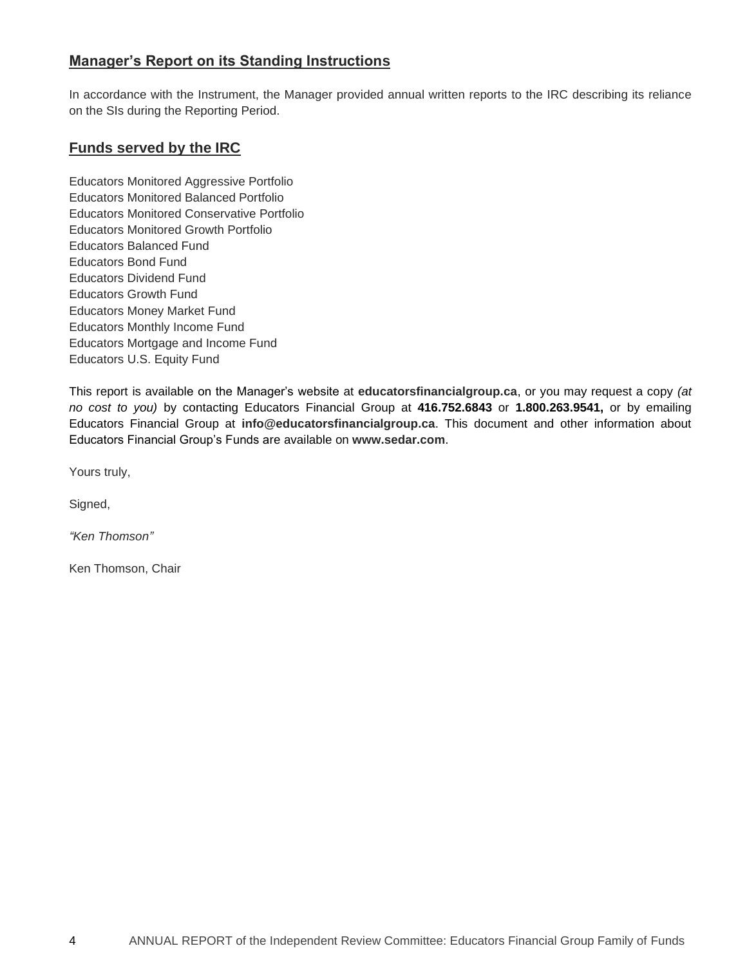# **Manager's Report on its Standing Instructions**

In accordance with the Instrument, the Manager provided annual written reports to the IRC describing its reliance on the SIs during the Reporting Period.

## **Funds served by the IRC**

Educators Monitored Aggressive Portfolio Educators Monitored Balanced Portfolio Educators Monitored Conservative Portfolio Educators Monitored Growth Portfolio Educators Balanced Fund Educators Bond Fund Educators Dividend Fund Educators Growth Fund Educators Money Market Fund Educators Monthly Income Fund Educators Mortgage and Income Fund Educators U.S. Equity Fund

This report is available on the Manager's website at **[educatorsfinancialgroup.ca](http://www.educatorsfinancialgroup.ca/)**, or you may request a copy *(at no cost to you)* by contacting Educators Financial Group at **416.752.6843** or **1.800.263.9541,** or by emailing Educators Financial Group at **[info@educatorsfinancialgroup.ca](mailto:info@educatorsfinancialgroup.ca)**. This document and other information about Educators Financial Group's Funds are available on **[www.sedar.com](http://www.sedar.com/)**.

Yours truly,

Signed,

*"Ken Thomson"*

Ken Thomson, Chair